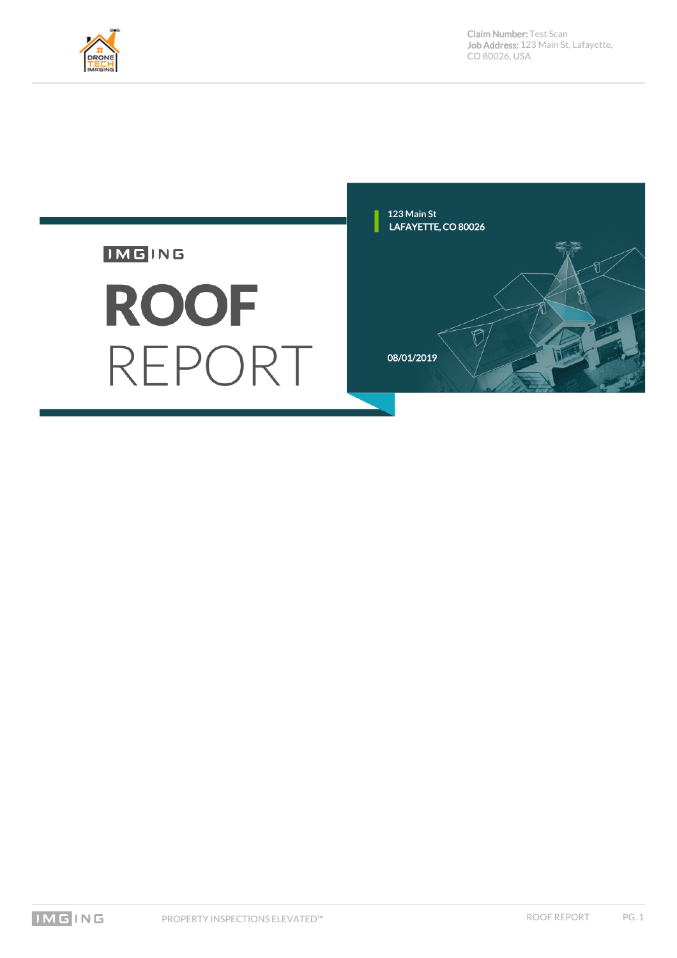

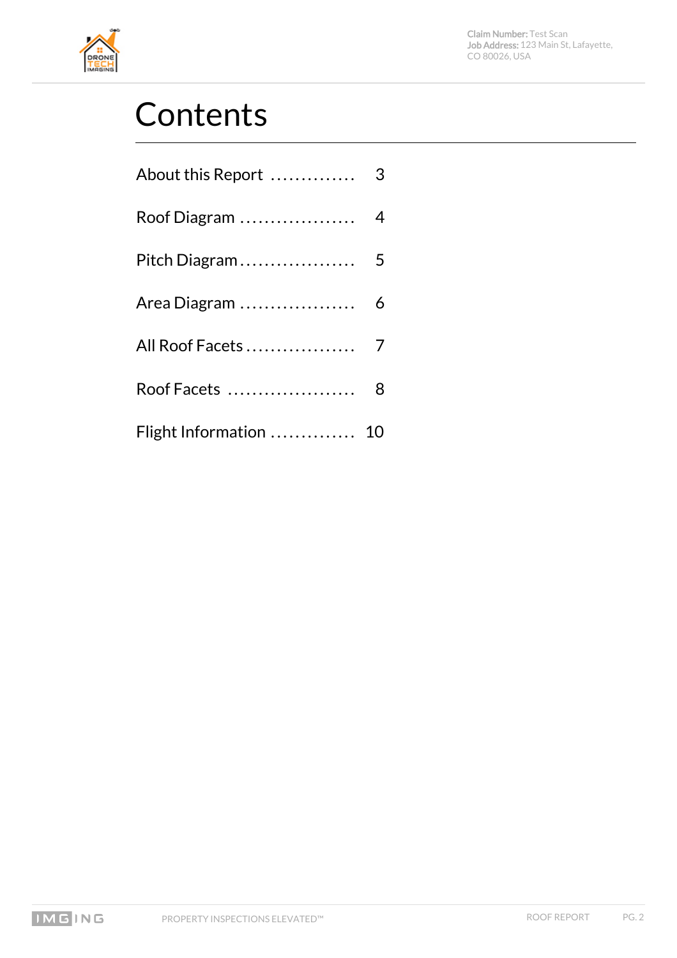

# **Contents**

| Area Diagram  6        |  |
|------------------------|--|
| All Roof Facets 7      |  |
|                        |  |
| Flight Information  10 |  |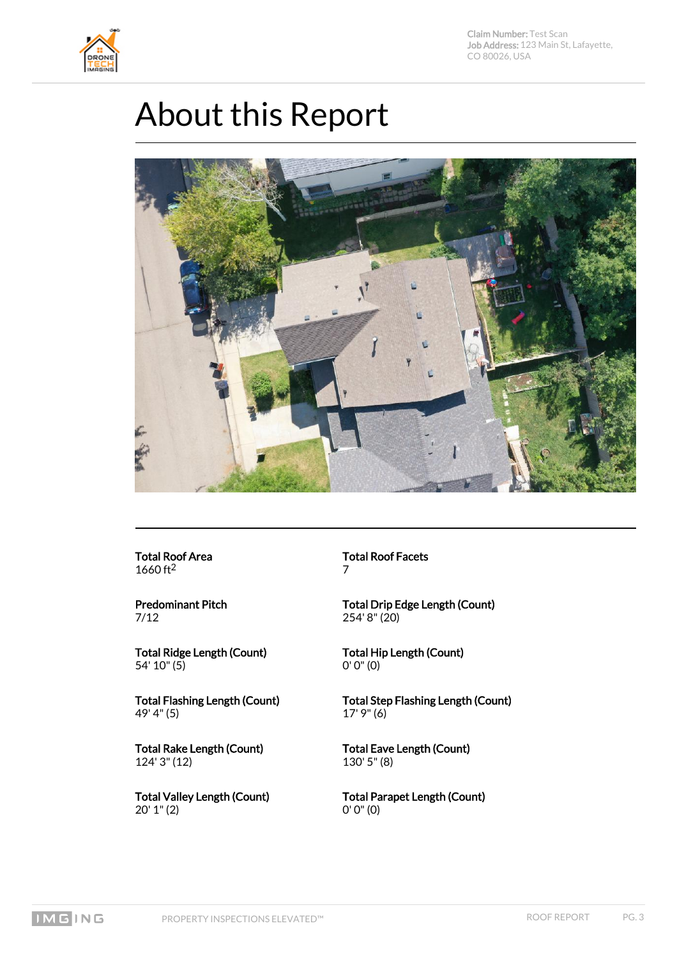<span id="page-2-0"></span>

#### About this Report



Total Roof Area 1660 ft2

Predominant Pitch 7/12

Total Ridge Length (Count) 54' 10" (5)

Total Flashing Length (Count) 49' 4" (5)

Total Rake Length (Count) 124' 3" (12)

Total Valley Length (Count) 20' 1" (2)

Total Roof Facets 7

Total Drip Edge Length (Count) 254' 8" (20)

Total Hip Length (Count) 0' 0" (0)

Total Step Flashing Length (Count) 17' 9" (6)

Total Eave Length (Count) 130' 5" (8)

Total Parapet Length (Count) 0' 0" (0)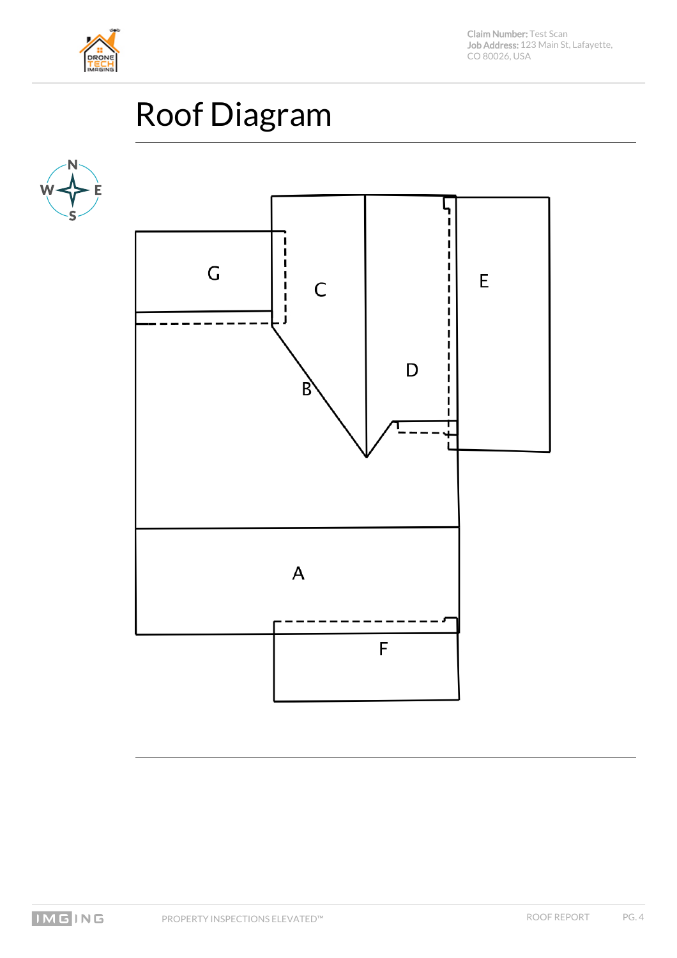

# Roof Diagram

<span id="page-3-0"></span>

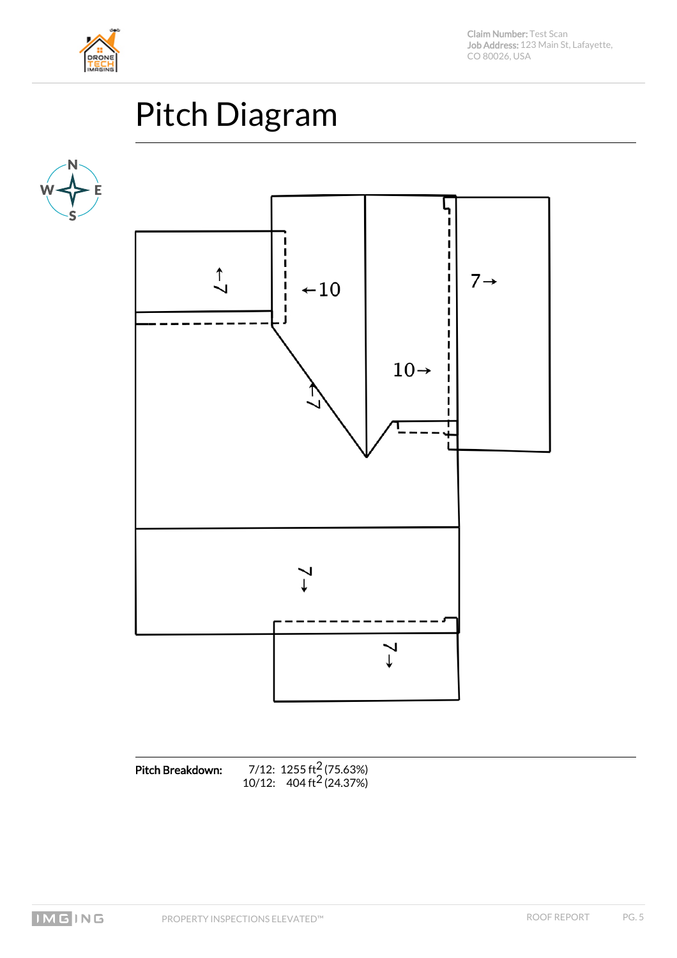

# Pitch Diagram

<span id="page-4-0"></span>



Pitch Breakdown:  $7/12$ : 1255 ft<sup>2</sup> (75.63%)  $10/12$ :  $404 \text{ ft}^2 (24.37%)$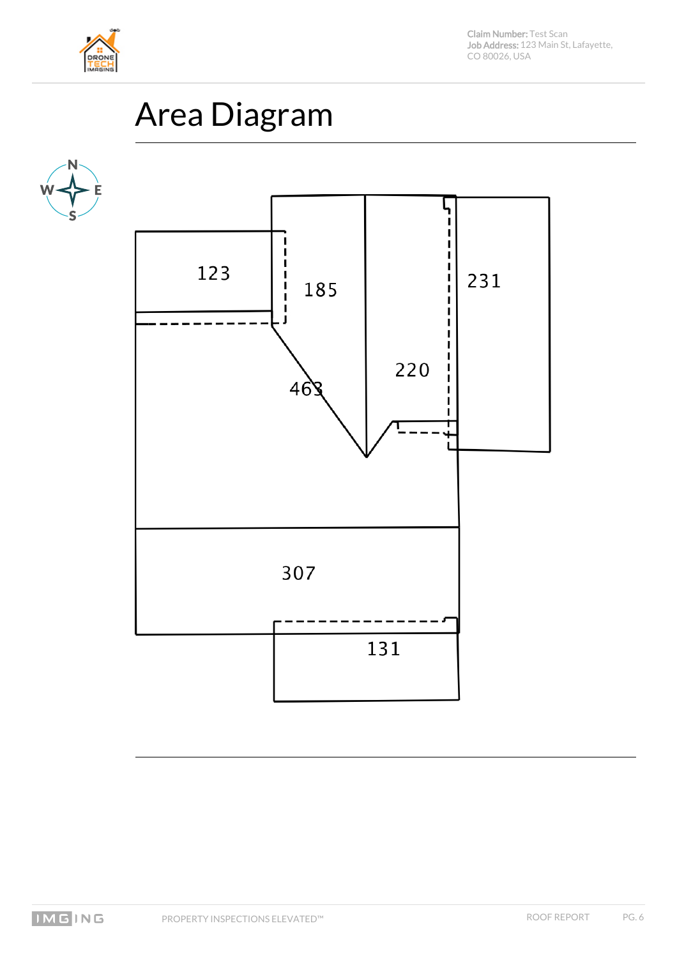

# Area Diagram

<span id="page-5-0"></span>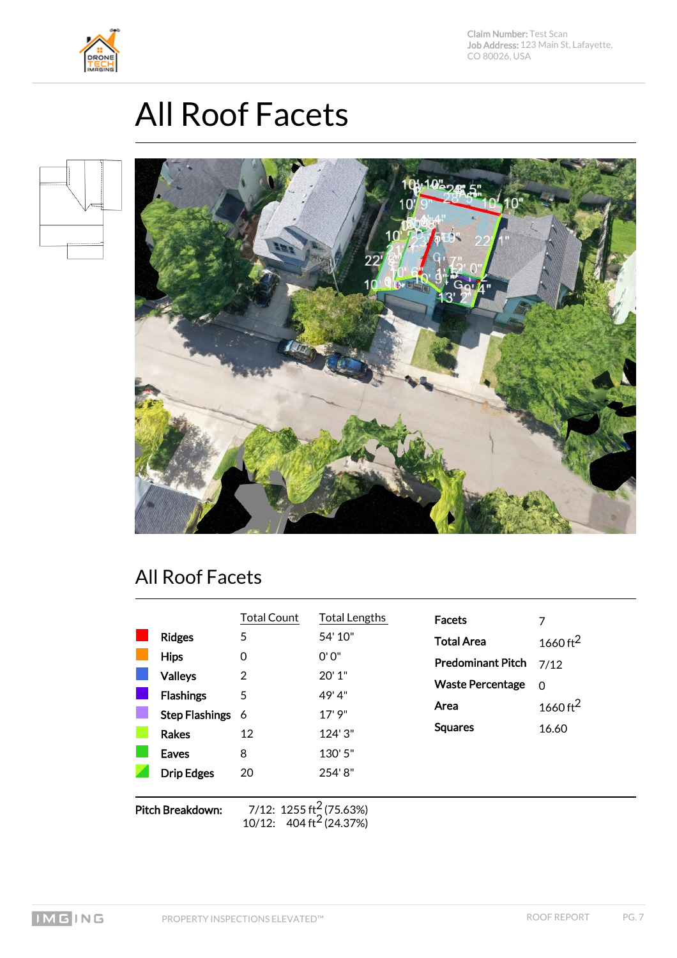



### **All Roof Facets**

<span id="page-6-0"></span>



#### All Roof Facets

|                         |                   | <b>Total Count</b>                                                         | <b>Total Lengths</b> | <b>Facets</b>            | 7                    |
|-------------------------|-------------------|----------------------------------------------------------------------------|----------------------|--------------------------|----------------------|
|                         | <b>Ridges</b>     | 5                                                                          | 54' 10"              | <b>Total Area</b>        | 1660 ft <sup>2</sup> |
|                         | <b>Hips</b>       | $\Omega$                                                                   | 0'0''                | <b>Predominant Pitch</b> | 7/12                 |
|                         | <b>Valleys</b>    | 2                                                                          | 20'1"                | <b>Waste Percentage</b>  | $\Omega$             |
|                         | <b>Flashings</b>  | 5                                                                          | 49'4"                | Area                     | 1660 ft <sup>2</sup> |
|                         | Step Flashings 6  |                                                                            | 17'9''               | <b>Squares</b>           |                      |
|                         | <b>Rakes</b>      | 12                                                                         | 124'3"               |                          | 16.60                |
|                         | <b>Eaves</b>      | 8                                                                          | 130'5"               |                          |                      |
|                         | <b>Drip Edges</b> | 20                                                                         | 254'8"               |                          |                      |
|                         |                   |                                                                            |                      |                          |                      |
| <b>Pitch Breakdown:</b> |                   | 7/12: 1255 ft <sup>2</sup> (75.63%)<br>10/12: $404 \text{ ft}^2 (24.37\%)$ |                      |                          |                      |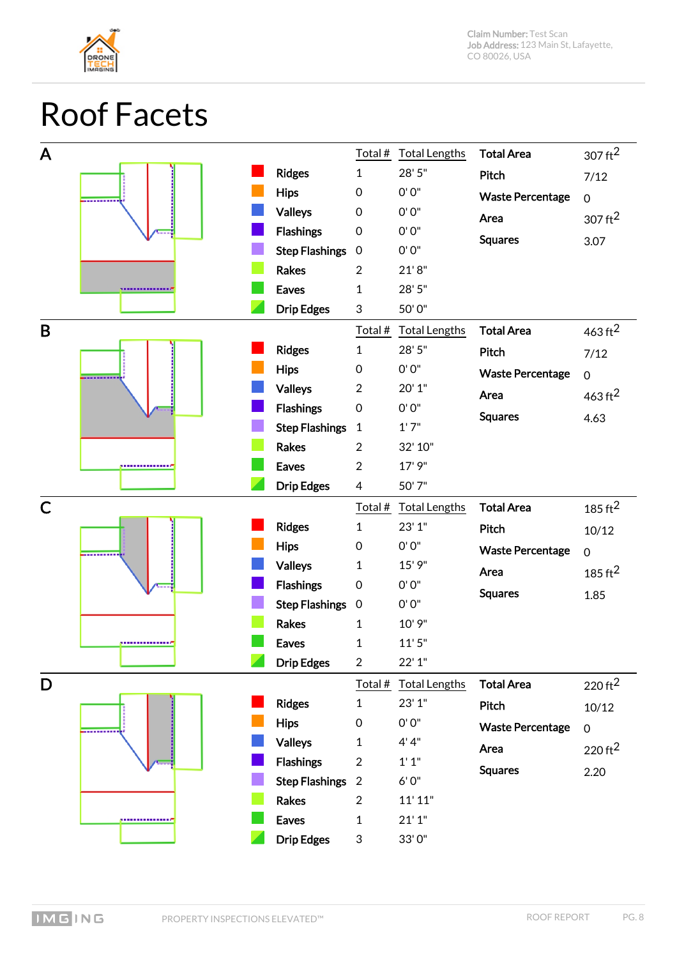

#### <span id="page-7-0"></span>Roof Facets

| A            |                  |                                   | Total #          | <b>Total Lengths</b> | <b>Total Area</b>       | $307 \text{ ft}^2$ |
|--------------|------------------|-----------------------------------|------------------|----------------------|-------------------------|--------------------|
|              |                  | <b>Ridges</b>                     | $\mathbf{1}$     | 28'5"                | Pitch                   | 7/12               |
|              | --------         | <b>Hips</b>                       | $\boldsymbol{0}$ | 0'0''                | <b>Waste Percentage</b> | $\mathbf 0$        |
|              |                  | <b>Valleys</b>                    | $\boldsymbol{0}$ | 0'0"                 | Area                    | $307 \text{ ft}^2$ |
|              |                  | <b>Flashings</b>                  | $\boldsymbol{0}$ | 0'0"                 | <b>Squares</b>          | 3.07               |
|              |                  | <b>Step Flashings</b>             | $\boldsymbol{0}$ | 0'0"                 |                         |                    |
|              |                  | <b>Rakes</b>                      | $\overline{2}$   | 21'8''               |                         |                    |
|              |                  | <b>Eaves</b>                      | $\mathbf{1}$     | 28'5"                |                         |                    |
|              |                  | <b>Drip Edges</b>                 | 3                | 50'0"                |                         |                    |
| B            |                  |                                   | Total#           | <b>Total Lengths</b> | <b>Total Area</b>       | $463 \text{ ft}^2$ |
|              |                  | <b>Ridges</b>                     | $\mathbf{1}$     | 28'5"                | Pitch                   | 7/12               |
|              |                  | <b>Hips</b>                       | $\mbox{O}$       | 0'0"                 | <b>Waste Percentage</b> | $\mathbf 0$        |
|              |                  | <b>Valleys</b>                    | $\overline{2}$   | 20' 1"               | Area                    | $463 \text{ ft}^2$ |
|              |                  | <b>Flashings</b>                  | $\boldsymbol{0}$ | 0'0"                 | <b>Squares</b>          | 4.63               |
|              |                  | <b>Step Flashings</b>             | $\mathbf{1}$     | 1'7''                |                         |                    |
|              |                  | <b>Rakes</b>                      | $\overline{2}$   | 32' 10"              |                         |                    |
|              | -------------    | <b>Eaves</b>                      | $\overline{2}$   | 17' 9"               |                         |                    |
|              |                  | <b>Drip Edges</b>                 | 4                | 50'7"                |                         |                    |
|              |                  |                                   |                  |                      |                         |                    |
| $\mathsf{C}$ |                  |                                   | Total #          | <b>Total Lengths</b> | <b>Total Area</b>       | 185 $\rm ft^2$     |
|              |                  | <b>Ridges</b>                     | $\mathbf{1}$     | 23' 1"               | Pitch                   | 10/12              |
|              |                  | <b>Hips</b>                       | $\boldsymbol{0}$ | 0'0"                 | <b>Waste Percentage</b> | $\mathbf 0$        |
|              |                  | <b>Valleys</b>                    | 1                | 15' 9"               | Area                    |                    |
|              |                  | <b>Flashings</b>                  | $\boldsymbol{0}$ | 0'0"                 |                         | 185 $\rm ft^2$     |
|              |                  | <b>Step Flashings</b>             | $\mathbf 0$      | 0'0"                 | <b>Squares</b>          | 1.85               |
|              |                  | <b>Rakes</b>                      | $\mathbf{1}$     | 10' 9"               |                         |                    |
|              | ,,,,,,,,,,,,,,,, | <b>Eaves</b>                      | $\mathbf{1}$     | 11'5''               |                         |                    |
|              |                  | <b>Drip Edges</b>                 | $\overline{2}$   | 22'1"                |                         |                    |
| D            |                  |                                   | Total #          | <b>Total Lengths</b> | <b>Total Area</b>       | $220 \text{ ft}^2$ |
|              |                  | <b>Ridges</b>                     | 1                | 23'1''               | Pitch                   | 10/12              |
|              | --------         | <b>Hips</b>                       | $\mathbf 0$      | 0'0"                 | <b>Waste Percentage</b> | $\mathbf 0$        |
|              |                  | <b>Valleys</b>                    | 1                | 4' 4''               | Area                    |                    |
|              |                  | <b>Flashings</b>                  | $\overline{2}$   | 1'1''                |                         | $220 \text{ ft}^2$ |
|              |                  | <b>Step Flashings</b>             | $\overline{2}$   | $6'0''$              | <b>Squares</b>          | 2.20               |
|              |                  | <b>Rakes</b>                      | $\overline{2}$   | 11' 11"              |                         |                    |
|              | ,,,,,,,,,,,,,,,, | <b>Eaves</b><br><b>Drip Edges</b> | 1                | 21'1''               |                         |                    |